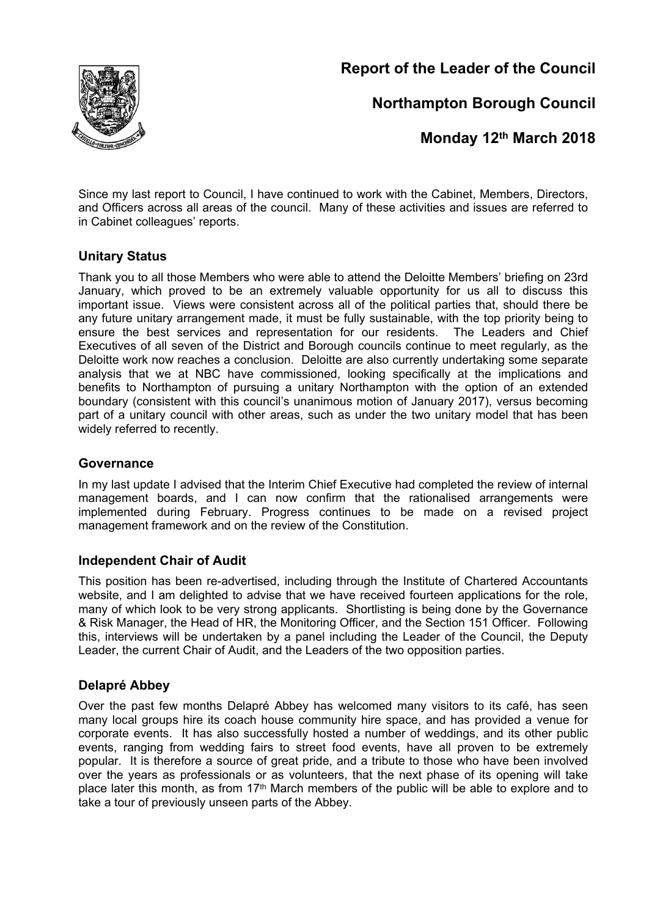**Report of the Leader of the Council**



# **Northampton Borough Council**

**Monday 12th March 2018**

Since my last report to Council, I have continued to work with the Cabinet, Members, Directors, and Officers across all areas of the council. Many of these activities and issues are referred to in Cabinet colleagues' reports.

#### **Unitary Status**

Thank you to all those Members who were able to attend the Deloitte Members' briefing on 23rd January, which proved to be an extremely valuable opportunity for us all to discuss this important issue. Views were consistent across all of the political parties that, should there be any future unitary arrangement made, it must be fully sustainable, with the top priority being to ensure the best services and representation for our residents. The Leaders and Chief Executives of all seven of the District and Borough councils continue to meet regularly, as the Deloitte work now reaches a conclusion. Deloitte are also currently undertaking some separate analysis that we at NBC have commissioned, looking specifically at the implications and benefits to Northampton of pursuing a unitary Northampton with the option of an extended boundary (consistent with this council's unanimous motion of January 2017), versus becoming part of a unitary council with other areas, such as under the two unitary model that has been widely referred to recently.

#### **Governance**

In my last update I advised that the Interim Chief Executive had completed the review of internal management boards, and I can now confirm that the rationalised arrangements were implemented during February. Progress continues to be made on a revised project management framework and on the review of the Constitution.

## **Independent Chair of Audit**

This position has been re-advertised, including through the Institute of Chartered Accountants website, and I am delighted to advise that we have received fourteen applications for the role, many of which look to be very strong applicants. Shortlisting is being done by the Governance & Risk Manager, the Head of HR, the Monitoring Officer, and the Section 151 Officer. Following this, interviews will be undertaken by a panel including the Leader of the Council, the Deputy Leader, the current Chair of Audit, and the Leaders of the two opposition parties.

## **Delapré Abbey**

Over the past few months Delapré Abbey has welcomed many visitors to its café, has seen many local groups hire its coach house community hire space, and has provided a venue for corporate events. It has also successfully hosted a number of weddings, and its other public events, ranging from wedding fairs to street food events, have all proven to be extremely popular. It is therefore a source of great pride, and a tribute to those who have been involved over the years as professionals or as volunteers, that the next phase of its opening will take place later this month, as from  $17<sup>th</sup>$  March members of the public will be able to explore and to take a tour of previously unseen parts of the Abbey.